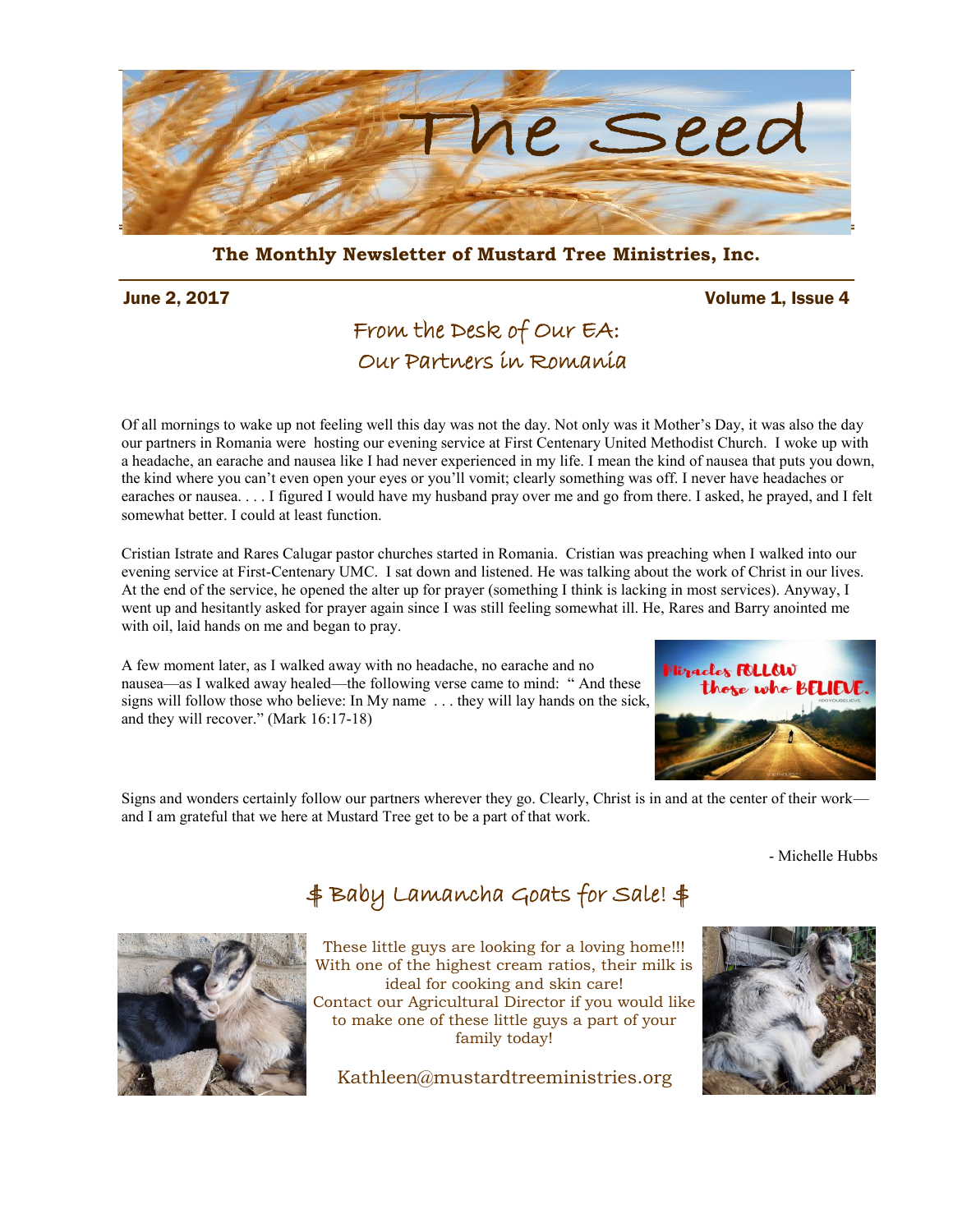

**The Monthly Newsletter of Mustard Tree Ministries, Inc.** 

#### June 2, 2017 Volume 1, Issue 4

## From the Desk of Our EA: Our Partners in Romania

Of all mornings to wake up not feeling well this day was not the day. Not only was it Mother's Day, it was also the day our partners in Romania were hosting our evening service at First Centenary United Methodist Church. I woke up with a headache, an earache and nausea like I had never experienced in my life. I mean the kind of nausea that puts you down, the kind where you can't even open your eyes or you'll vomit; clearly something was off. I never have headaches or earaches or nausea. . . . I figured I would have my husband pray over me and go from there. I asked, he prayed, and I felt somewhat better. I could at least function.

Cristian Istrate and Rares Calugar pastor churches started in Romania. Cristian was preaching when I walked into our evening service at First-Centenary UMC. I sat down and listened. He was talking about the work of Christ in our lives. At the end of the service, he opened the alter up for prayer (something I think is lacking in most services). Anyway, I went up and hesitantly asked for prayer again since I was still feeling somewhat ill. He, Rares and Barry anointed me with oil, laid hands on me and began to pray.

A few moment later, as I walked away with no headache, no earache and no nausea—as I walked away healed—the following verse came to mind: " And these signs will follow those who believe: In My name . . . they will lay hands on the sick, and they will recover." (Mark 16:17-18)



Signs and wonders certainly follow our partners wherever they go. Clearly, Christ is in and at the center of their work and I am grateful that we here at Mustard Tree get to be a part of that work.

- Michelle Hubbs

# \$ Baby Lamancha Goats for Sale! \$



These little guys are looking for a loving home!!! With one of the highest cream ratios, their milk is ideal for cooking and skin care! Contact our Agricultural Director if you would like to make one of these little guys a part of your family today!

Kathleen@mustardtreeministries.org